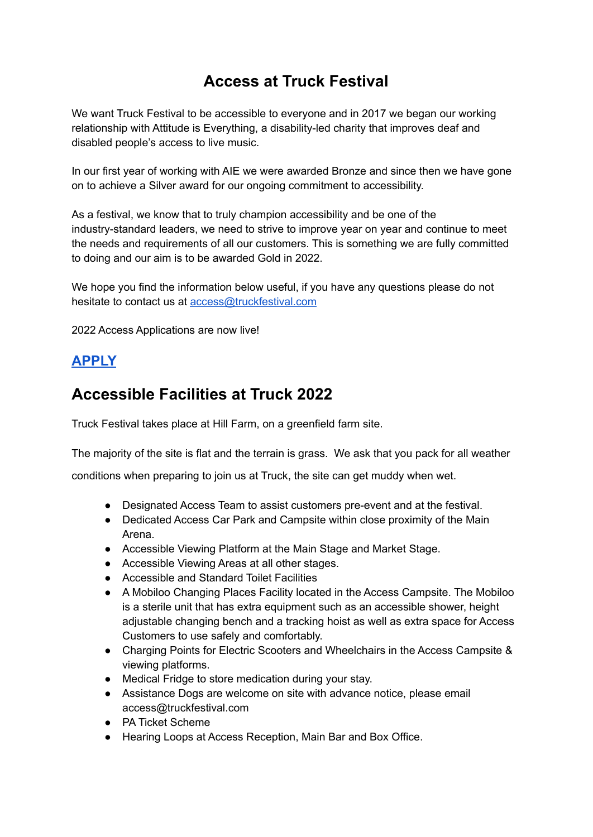# **Access at Truck Festival**

We want Truck Festival to be accessible to everyone and in 2017 we began our working relationship with Attitude is Everything, a disability-led charity that improves deaf and disabled people's access to live music.

In our first year of working with AIE we were awarded Bronze and since then we have gone on to achieve a Silver award for our ongoing commitment to accessibility.

As a festival, we know that to truly champion accessibility and be one of the industry-standard leaders, we need to strive to improve year on year and continue to meet the needs and requirements of all our customers. This is something we are fully committed to doing and our aim is to be awarded Gold in 2022.

We hope you find the information below useful, if you have any questions please do not hesitate to contact us at [access@truckfestival.com](mailto:access@truckfestival.com)

2022 Access Applications are now live!

### **[APPLY](https://form.jotform.com/213111478039350)**

## **Accessible Facilities at Truck 2022**

Truck Festival takes place at Hill Farm, on a greenfield farm site.

The majority of the site is flat and the terrain is grass. We ask that you pack for all weather

conditions when preparing to join us at Truck, the site can get muddy when wet.

- Designated Access Team to assist customers pre-event and at the festival.
- Dedicated Access Car Park and Campsite within close proximity of the Main Arena.
- Accessible Viewing Platform at the Main Stage and Market Stage.
- Accessible Viewing Areas at all other stages.
- Accessible and Standard Toilet Facilities
- A Mobiloo Changing Places Facility located in the Access Campsite. The Mobiloo is a sterile unit that has extra equipment such as an accessible shower, height adjustable changing bench and a tracking hoist as well as extra space for Access Customers to use safely and comfortably.
- Charging Points for Electric Scooters and Wheelchairs in the Access Campsite & viewing platforms.
- Medical Fridge to store medication during your stay.
- Assistance Dogs are welcome on site with advance notice, please email access@truckfestival.com
- PA Ticket Scheme
- Hearing Loops at Access Reception, Main Bar and Box Office.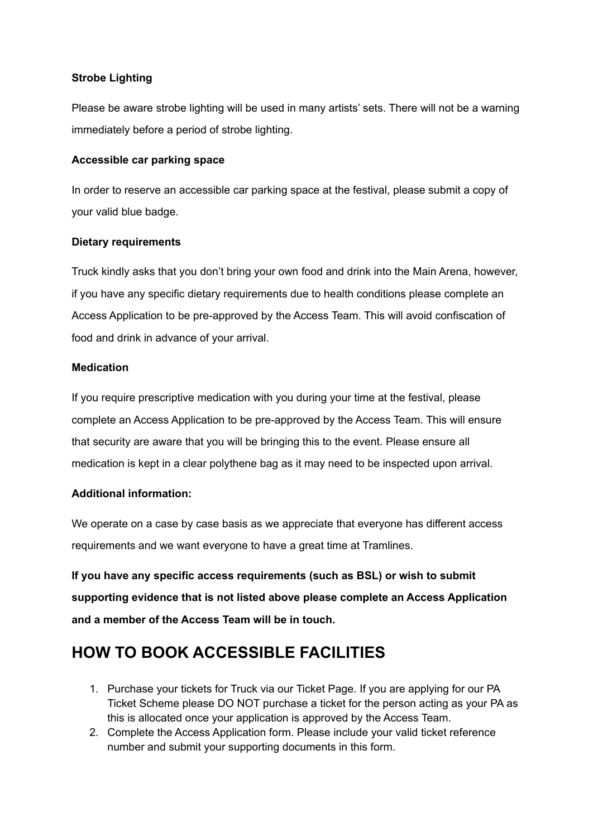#### **Strobe Lighting**

Please be aware strobe lighting will be used in many artists' sets. There will not be a warning immediately before a period of strobe lighting.

#### **Accessible car parking space**

In order to reserve an accessible car parking space at the festival, please submit a copy of your valid blue badge.

#### **Dietary requirements**

Truck kindly asks that you don't bring your own food and drink into the Main Arena, however, if you have any specific dietary requirements due to health conditions please complete an Access Application to be pre-approved by the Access Team. This will avoid confiscation of food and drink in advance of your arrival.

#### **Medication**

If you require prescriptive medication with you during your time at the festival, please complete an Access Application to be pre-approved by the Access Team. This will ensure that security are aware that you will be bringing this to the event. Please ensure all medication is kept in a clear polythene bag as it may need to be inspected upon arrival.

#### **Additional information:**

We operate on a case by case basis as we appreciate that everyone has different access requirements and we want everyone to have a great time at Tramlines.

**If you have any specific access requirements (such as BSL) or wish to submit supporting evidence that is not listed above please complete an Access Application and a member of the Access Team will be in touch.**

## **HOW TO BOOK ACCESSIBLE FACILITIES**

- 1. Purchase your tickets for Truck via our Ticket Page. If you are applying for our PA Ticket Scheme please DO NOT purchase a ticket for the person acting as your PA as this is allocated once your application is approved by the Access Team.
- 2. Complete the Access Application form. Please include your valid ticket reference number and submit your supporting documents in this form.